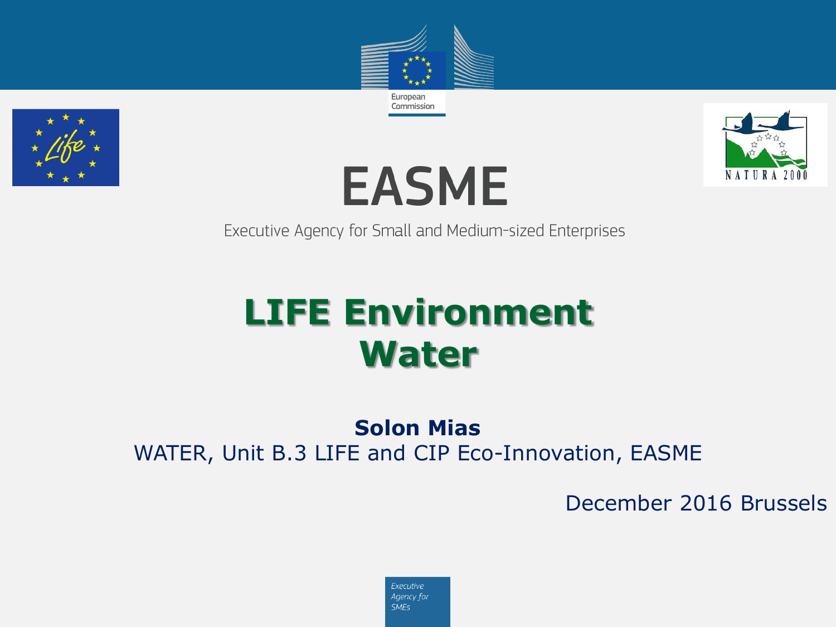







Executive Agency for Small and Medium-sized Enterprises

# **LIFE Environment Water**

### **Solon Mias**

WATER, Unit B.3 LIFE and CIP Eco-Innovation, EASME

December 2016 Brussels

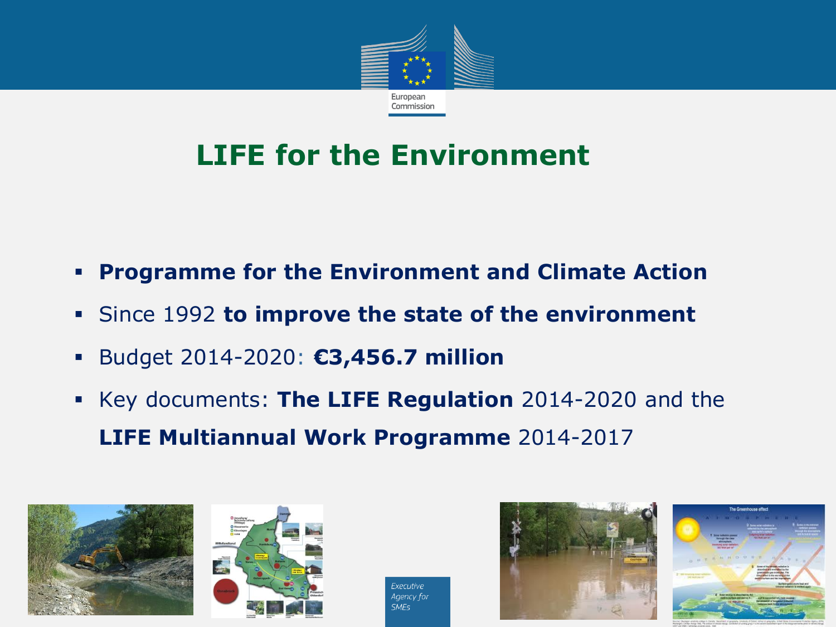

## **LIFE for the Environment**

- **Programme for the Environment and Climate Action**
- Since 1992 **to improve the state of the environment**
- Budget 2014-2020: **€3,456.7 million**
- Key documents: **The LIFE Regulation** 2014-2020 and the **LIFE Multiannual Work Programme** 2014-2017





Executive Agency for **SMFs** 



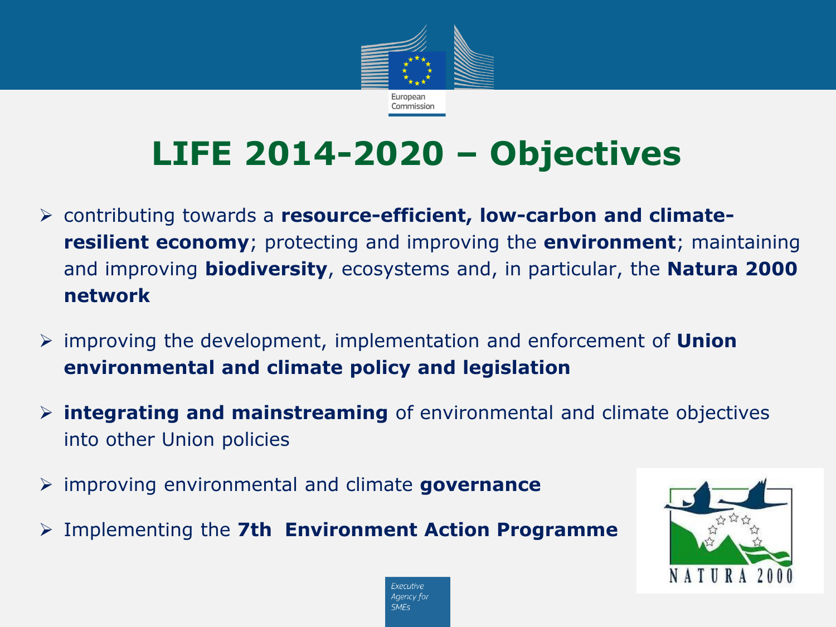

# **LIFE 2014-2020 – Objectives**

- contributing towards a **resource-efficient, low-carbon and climateresilient economy**; protecting and improving the **environment**; maintaining and improving **biodiversity**, ecosystems and, in particular, the **Natura 2000 network**
- improving the development, implementation and enforcement of **Union environmental and climate policy and legislation**
- **integrating and mainstreaming** of environmental and climate objectives into other Union policies
- improving environmental and climate **governance**
- Implementing the **7th Environment Action Programme**



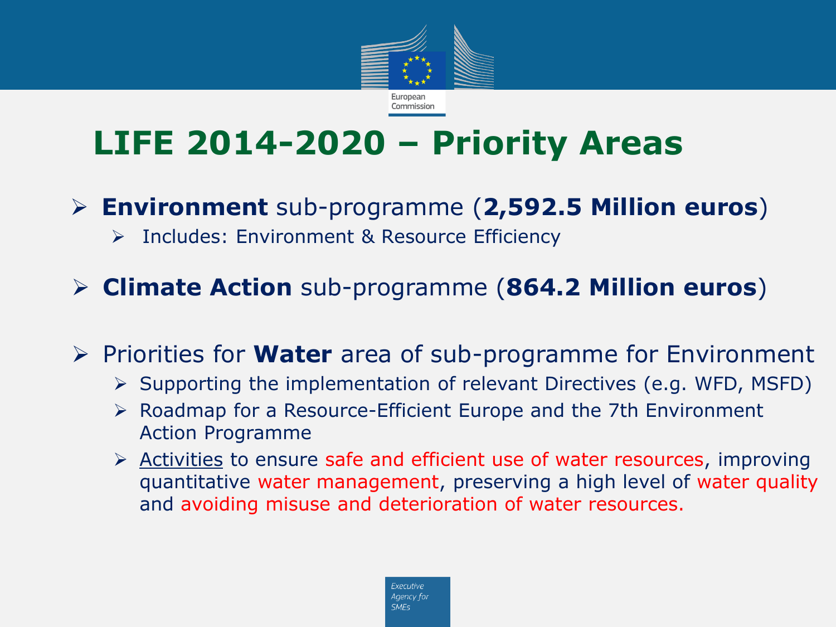

# **LIFE 2014-2020 – Priority Areas**

- **Environment** sub-programme (**2,592.5 Million euros**)
	- > Includes: Environment & Resource Efficiency
- **Climate Action** sub-programme (**864.2 Million euros**)
- **▶ Priorities for Water** area of sub-programme for Environment
	- $\triangleright$  Supporting the implementation of relevant Directives (e.g. WFD, MSFD)
	- $\triangleright$  Roadmap for a Resource-Efficient Europe and the 7th Environment Action Programme
	- $\triangleright$  Activities to ensure safe and efficient use of water resources, improving quantitative water management, preserving a high level of water quality and avoiding misuse and deterioration of water resources.

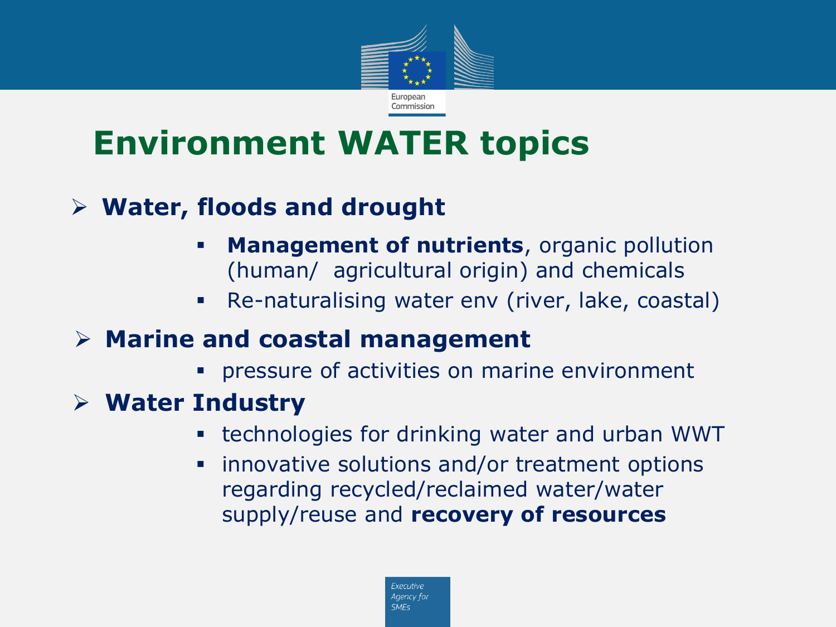

# **Environment WATER topics**

### **Water, floods and drought**

- **Management of nutrients**, organic pollution (human/ agricultural origin) and chemicals
- Re-naturalising water env (river, lake, coastal)

### **Marine and coastal management**

**PEREGO FIGHTER IS EXERGISTE:** pressure of activities on marine environment

### **Water Industry**

- technologies for drinking water and urban WWT
- innovative solutions and/or treatment options regarding recycled/reclaimed water/water supply/reuse and **recovery of resources**

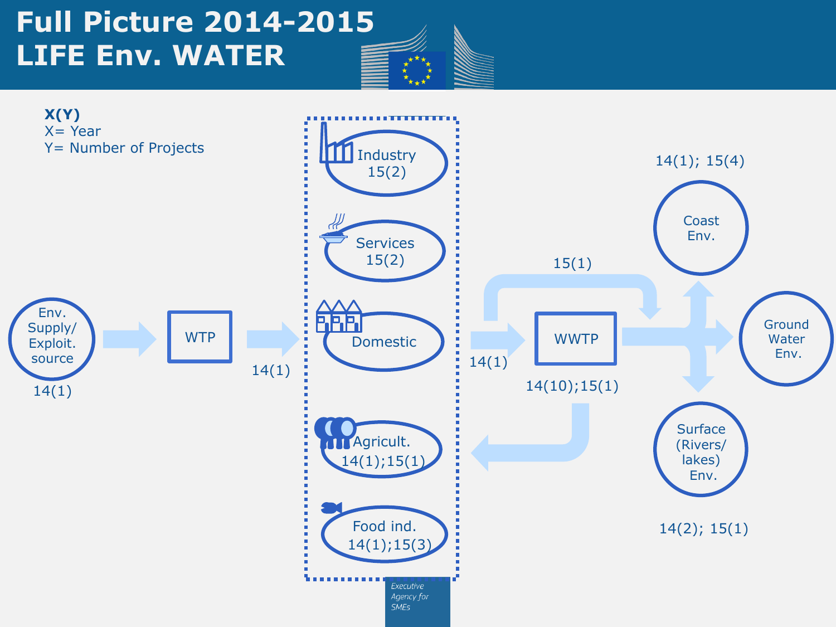### **Full Picture 2014-2015 LIFE Env. WATER**

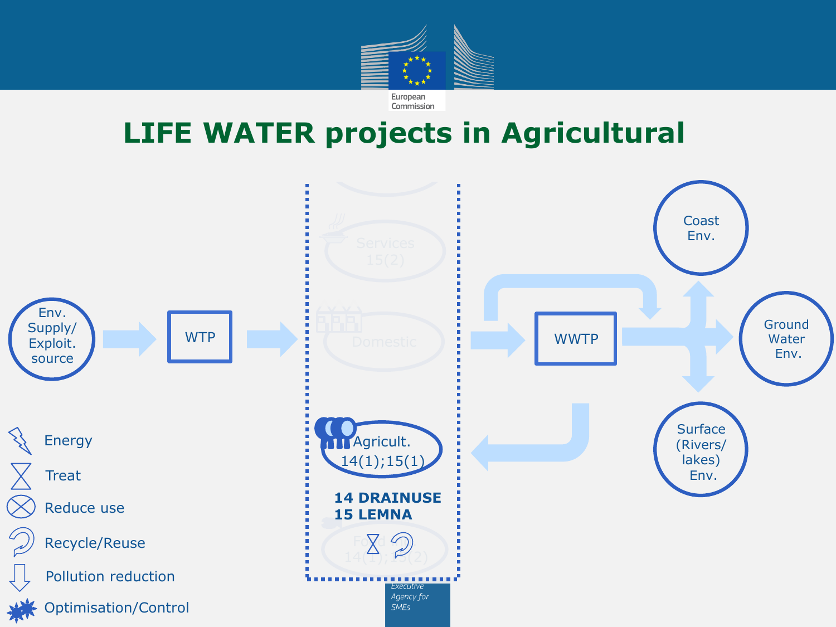

### **LIFE WATER projects in Agricultural**

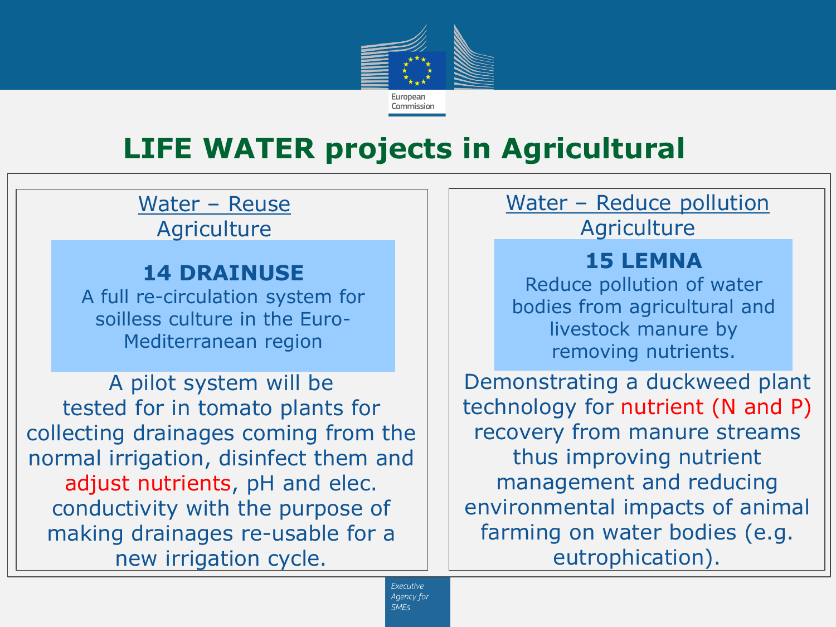

## **LIFE WATER projects in Agricultural**

Water – Reuse **Agriculture** 

#### **14 DRAINUSE**

A full re-circulation system for soilless culture in the Euro-Mediterranean region

A pilot system will be tested for in tomato plants for collecting drainages coming from the normal irrigation, disinfect them and adjust nutrients, pH and elec. conductivity with the purpose of making drainages re-usable for a new irrigation cycle.

## Water – Reduce pollution

#### **Agriculture**

### **15 LEMNA**

Reduce pollution of water bodies from agricultural and livestock manure by removing nutrients.

Demonstrating a duckweed plant technology for nutrient (N and P) recovery from manure streams thus improving nutrient management and reducing environmental impacts of animal farming on water bodies (e.g. eutrophication).

Executive Agency for **SMFs**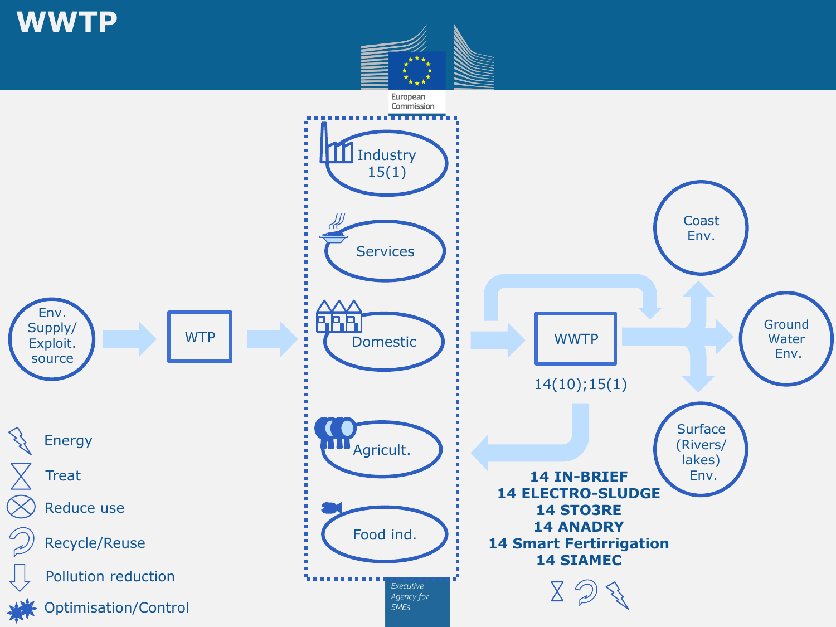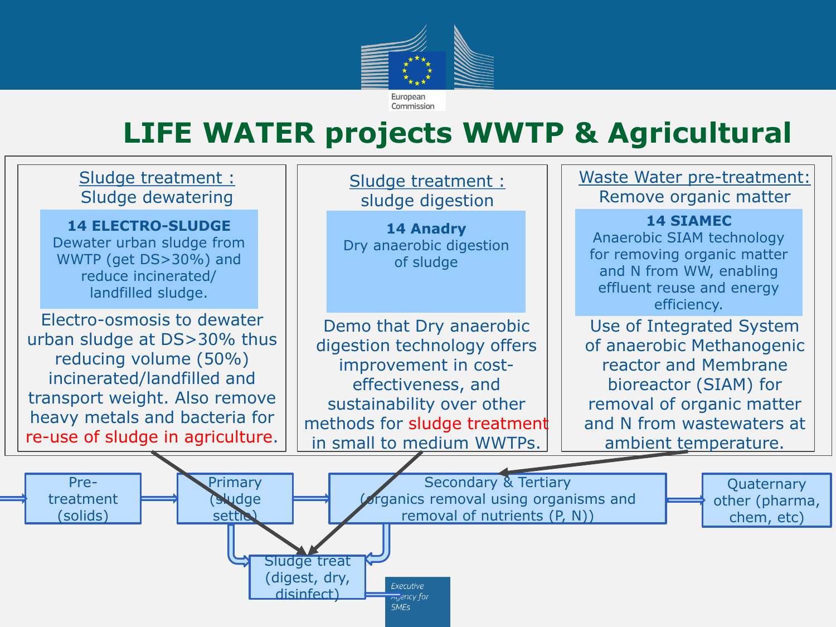

### **LIFE WATER projects WWTP & Agricultural**

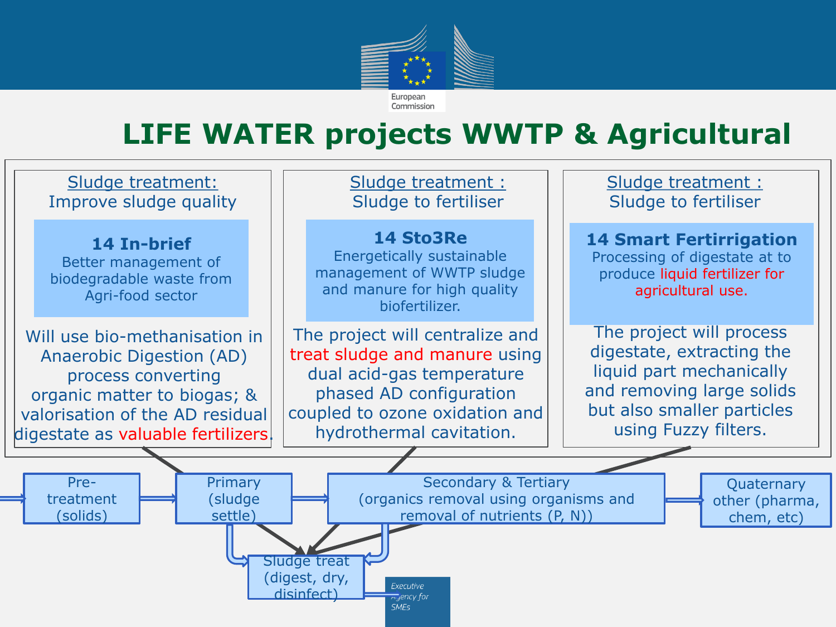

## **LIFE WATER projects WWTP & Agricultural**

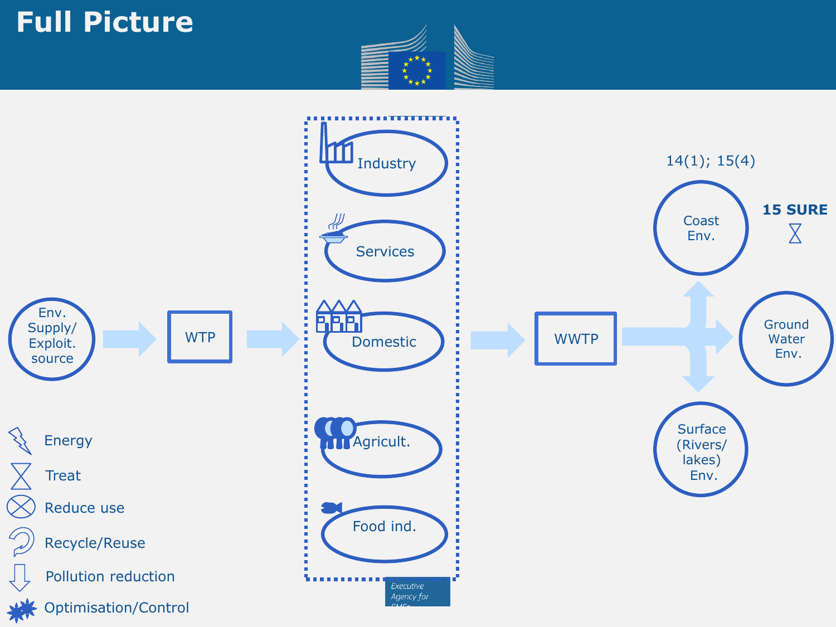### **Full Picture**



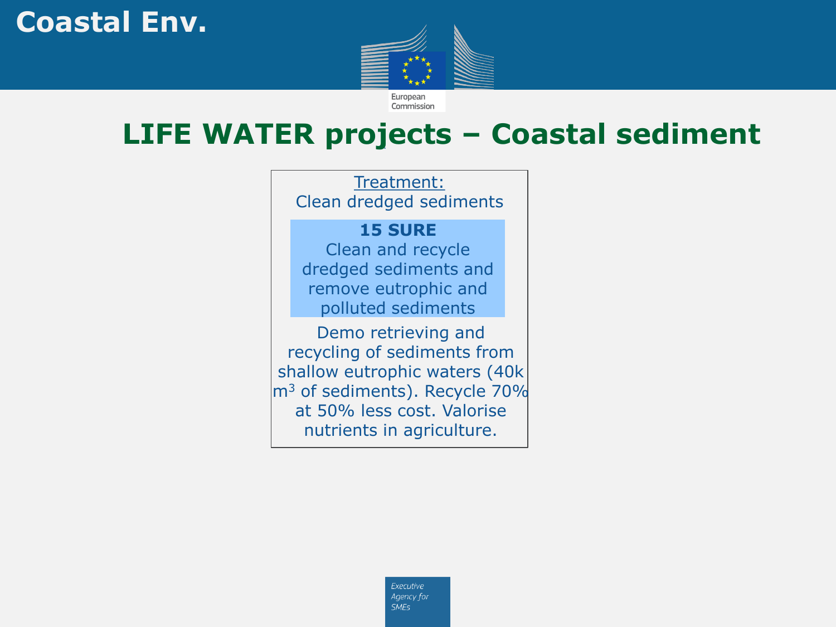### **Coastal Env.**



### **LIFE WATER projects – Coastal sediment**

Treatment: Clean dredged sediments

#### **15 SURE**

Clean and recycle dredged sediments and remove eutrophic and polluted sediments

Demo retrieving and recycling of sediments from shallow eutrophic waters (40k m<sup>3</sup> of sediments). Recycle 70% at 50% less cost. Valorise nutrients in agriculture.

> Executive Agency for **SMEs**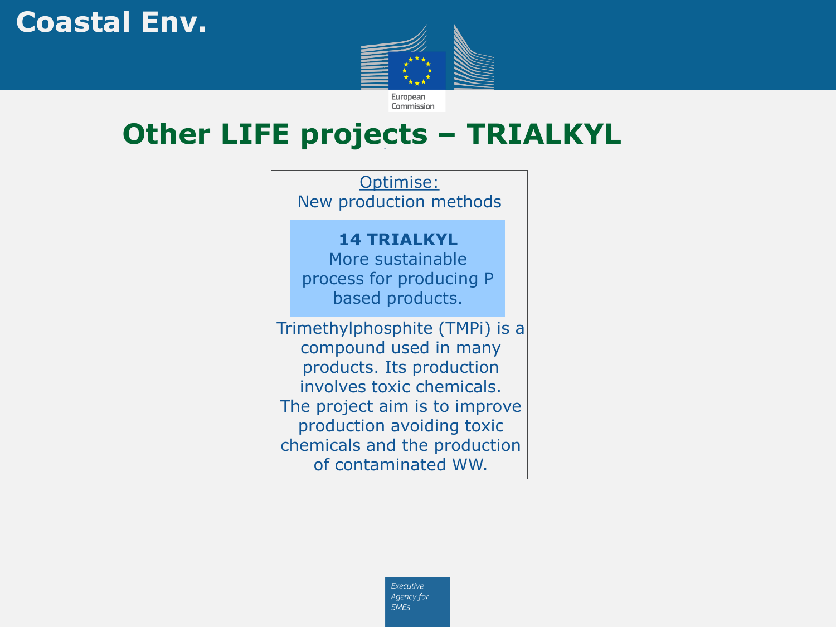### **Coastal Env.**



### **Other LIFE projects – TRIALKYL**

**14 TRIALKYL** More sustainable process for producing P based products. Trimethylphosphite (TMPi) is a compound used in many products. Its production involves toxic chemicals. The project aim is to improve production avoiding toxic chemicals and the production of contaminated WW. Optimise: New production methods

> Executive Agency for **SMEs**